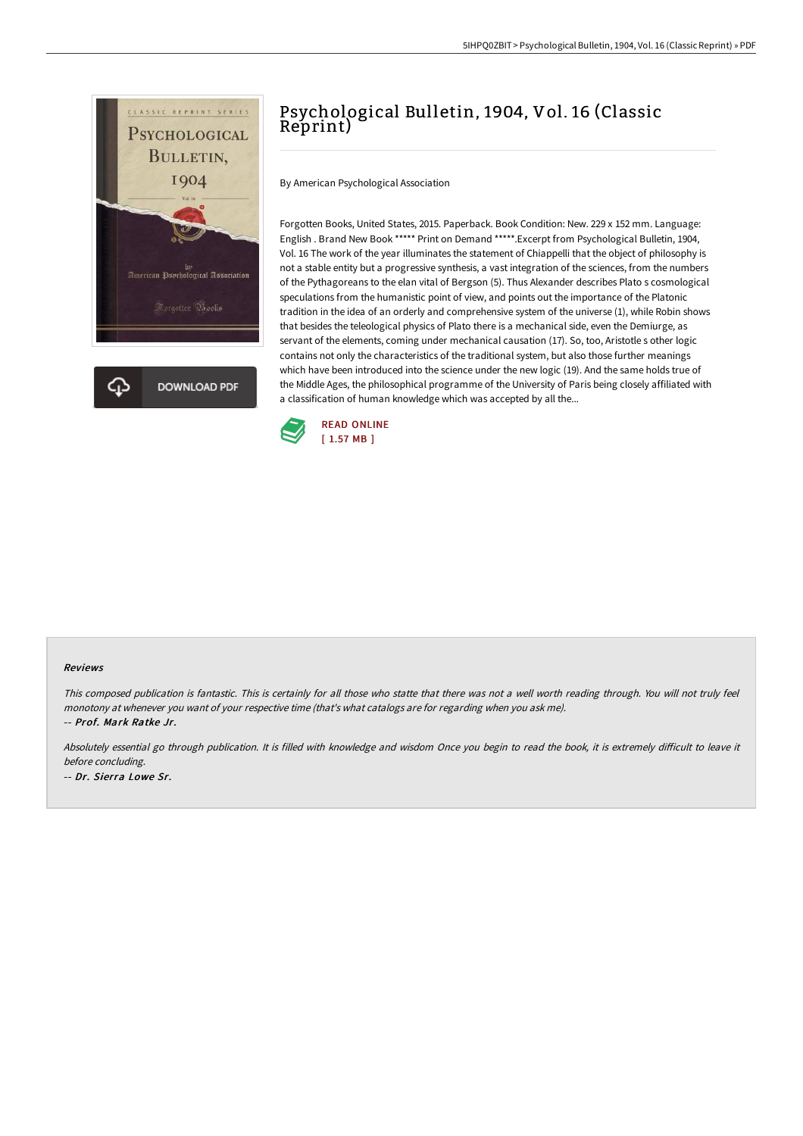

# Psychological Bulletin, 1904, Vol. 16 (Classic Reprint)

By American Psychological Association

Forgotten Books, United States, 2015. Paperback. Book Condition: New. 229 x 152 mm. Language: English . Brand New Book \*\*\*\*\* Print on Demand \*\*\*\*\*.Excerpt from Psychological Bulletin, 1904, Vol. 16 The work of the year illuminates the statement of Chiappelli that the object of philosophy is not a stable entity but a progressive synthesis, a vast integration of the sciences, from the numbers of the Pythagoreans to the elan vital of Bergson (5). Thus Alexander describes Plato s cosmological speculations from the humanistic point of view, and points out the importance of the Platonic tradition in the idea of an orderly and comprehensive system of the universe (1), while Robin shows that besides the teleological physics of Plato there is a mechanical side, even the Demiurge, as servant of the elements, coming under mechanical causation (17). So, too, Aristotle s other logic contains not only the characteristics of the traditional system, but also those further meanings which have been introduced into the science under the new logic (19). And the same holds true of the Middle Ages, the philosophical programme of the University of Paris being closely affiliated with a classification of human knowledge which was accepted by all the...



#### Reviews

This composed publication is fantastic. This is certainly for all those who statte that there was not <sup>a</sup> well worth reading through. You will not truly feel monotony at whenever you want of your respective time (that's what catalogs are for regarding when you ask me). -- Prof. Mark Ratke Jr.

Absolutely essential go through publication. It is filled with knowledge and wisdom Once you begin to read the book, it is extremely difficult to leave it before concluding. -- Dr. Sierra Lowe Sr.